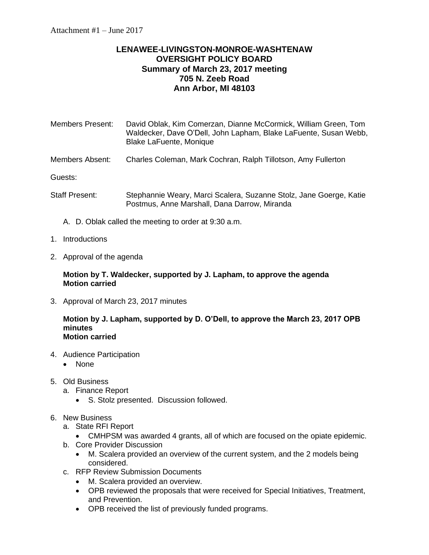## **LENAWEE-LIVINGSTON-MONROE-WASHTENAW OVERSIGHT POLICY BOARD Summary of March 23, 2017 meeting 705 N. Zeeb Road Ann Arbor, MI 48103**

| <b>Members Present:</b> | David Oblak, Kim Comerzan, Dianne McCormick, William Green, Tom<br>Waldecker, Dave O'Dell, John Lapham, Blake LaFuente, Susan Webb,<br><b>Blake LaFuente, Monique</b> |
|-------------------------|-----------------------------------------------------------------------------------------------------------------------------------------------------------------------|
| Members Absent:         | Charles Coleman, Mark Cochran, Ralph Tillotson, Amy Fullerton                                                                                                         |
| Guests:                 |                                                                                                                                                                       |
| <b>Staff Present:</b>   | Stephannie Weary, Marci Scalera, Suzanne Stolz, Jane Goerge, Katie<br>Postmus, Anne Marshall, Dana Darrow, Miranda                                                    |

- A. D. Oblak called the meeting to order at 9:30 a.m.
- 1. Introductions
- 2. Approval of the agenda

## **Motion by T. Waldecker, supported by J. Lapham, to approve the agenda Motion carried**

3. Approval of March 23, 2017 minutes

## **Motion by J. Lapham, supported by D. O'Dell, to approve the March 23, 2017 OPB minutes Motion carried**

- 4. Audience Participation
	- None
- 5. Old Business
	- a. Finance Report
		- S. Stolz presented. Discussion followed.
- 6. New Business
	- a. State RFI Report
		- CMHPSM was awarded 4 grants, all of which are focused on the opiate epidemic.
	- b. Core Provider Discussion
		- M. Scalera provided an overview of the current system, and the 2 models being considered.
	- c. RFP Review Submission Documents
		- M. Scalera provided an overview.
		- OPB reviewed the proposals that were received for Special Initiatives, Treatment, and Prevention.
		- OPB received the list of previously funded programs.